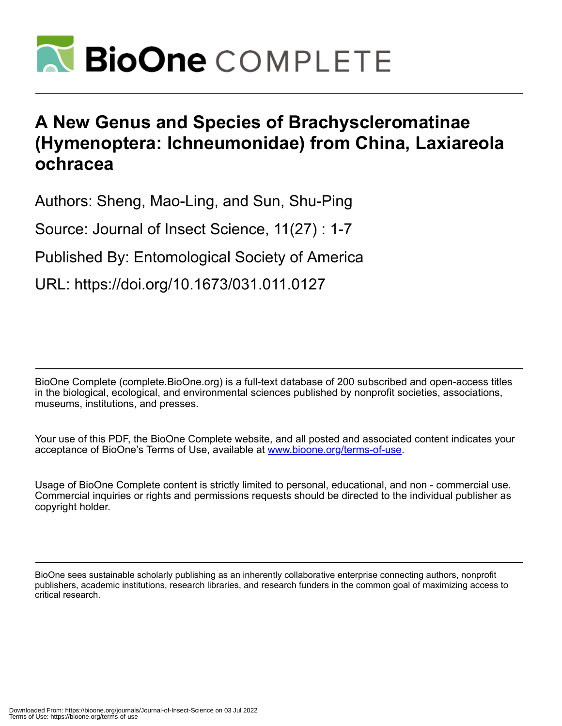

# **A New Genus and Species of Brachyscleromatinae (Hymenoptera: Ichneumonidae) from China, Laxiareola ochracea**

Authors: Sheng, Mao-Ling, and Sun, Shu-Ping

Source: Journal of Insect Science, 11(27) : 1-7

Published By: Entomological Society of America

URL: https://doi.org/10.1673/031.011.0127

BioOne Complete (complete.BioOne.org) is a full-text database of 200 subscribed and open-access titles in the biological, ecological, and environmental sciences published by nonprofit societies, associations, museums, institutions, and presses.

Your use of this PDF, the BioOne Complete website, and all posted and associated content indicates your acceptance of BioOne's Terms of Use, available at www.bioone.org/terms-of-use.

Usage of BioOne Complete content is strictly limited to personal, educational, and non - commercial use. Commercial inquiries or rights and permissions requests should be directed to the individual publisher as copyright holder.

BioOne sees sustainable scholarly publishing as an inherently collaborative enterprise connecting authors, nonprofit publishers, academic institutions, research libraries, and research funders in the common goal of maximizing access to critical research.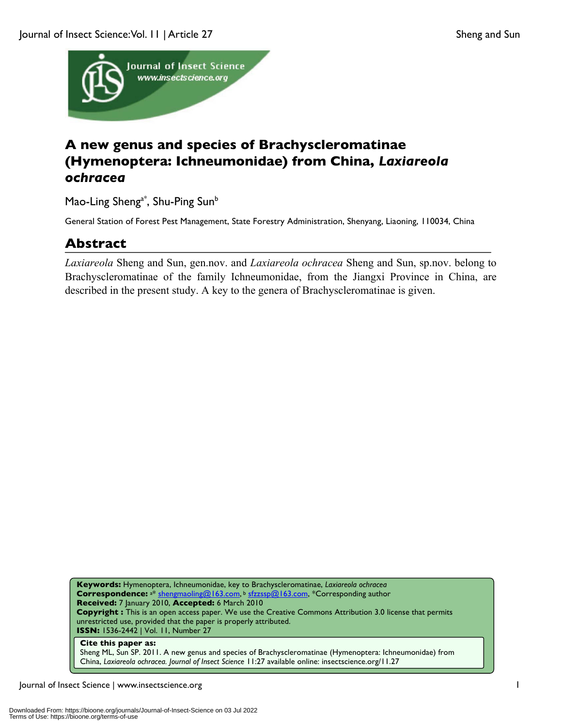

## **A new genus and species of Brachyscleromatinae (Hymenoptera: Ichneumonidae) from China,** *Laxiareola ochracea*

Mao-Ling Sheng<sup>a\*</sup>, Shu-Ping Sun<sup>b</sup>

General Station of Forest Pest Management, State Forestry Administration, Shenyang, Liaoning, 110034, China

### **Abstract**

*Laxiareola* Sheng and Sun, gen.nov. and *Laxiareola ochracea* Sheng and Sun, sp.nov. belong to Brachyscleromatinae of the family Ichneumonidae, from the Jiangxi Province in China, are described in the present study. A key to the genera of Brachyscleromatinae is given.

**Keywords:** Hymenoptera, Ichneumonidae, key to Brachyscleromatinae, *Laxiareola ochracea* **Correspondence:** a\* shengmaoling@163.com, <sup>b</sup> sfzzssp@163.com, \*Corresponding author **Received:** 7 January 2010, **Accepted:** 6 March 2010 **Copyright :** This is an open access paper. We use the Creative Commons Attribution 3.0 license that permits unrestricted use, provided that the paper is properly attributed. **ISSN:** 1536-2442 | Vol. 11, Number 27

#### **Cite this paper as:**

Sheng ML, Sun SP. 2011. A new genus and species of Brachyscleromatinae (Hymenoptera: Ichneumonidae) from China, *Laxiareola ochracea. Journal of Insect Science* 11:27 available online: insectscience.org/11.27

Journal of Insect Science | www.insectscience.org 1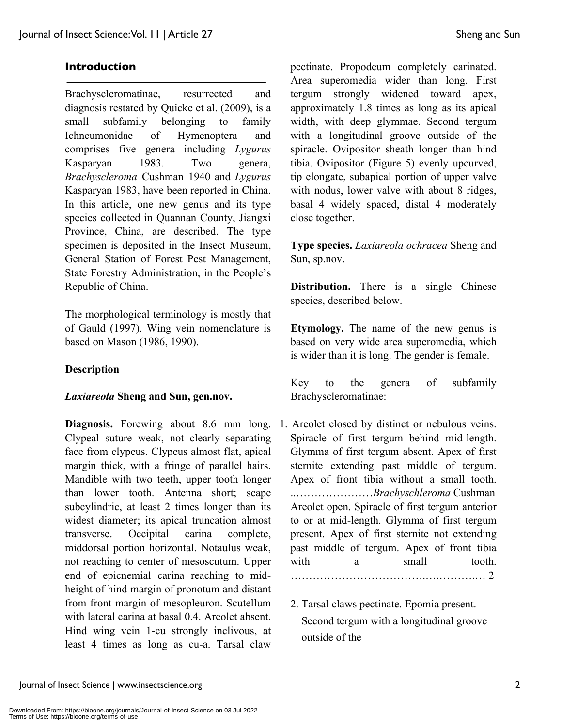#### **Introduction**

Brachyscleromatinae, resurrected and diagnosis restated by Quicke et al. (2009), is a small subfamily belonging to family Ichneumonidae of Hymenoptera and comprises five genera including *Lygurus* Kasparyan 1983. Two genera, *Brachyscleroma* Cushman 1940 and *Lygurus* Kasparyan 1983, have been reported in China. In this article, one new genus and its type species collected in Quannan County, Jiangxi Province, China, are described. The type specimen is deposited in the Insect Museum, General Station of Forest Pest Management, State Forestry Administration, in the People's Republic of China.

The morphological terminology is mostly that of Gauld (1997). Wing vein nomenclature is based on Mason (1986, 1990).

#### **Description**

#### *Laxiareola* **Sheng and Sun, gen.nov.**

**Diagnosis.** Forewing about 8.6 mm long. Clypeal suture weak, not clearly separating face from clypeus. Clypeus almost flat, apical margin thick, with a fringe of parallel hairs. Mandible with two teeth, upper tooth longer than lower tooth. Antenna short; scape subcylindric, at least 2 times longer than its widest diameter; its apical truncation almost transverse. Occipital carina complete, middorsal portion horizontal. Notaulus weak, not reaching to center of mesoscutum. Upper end of epicnemial carina reaching to midheight of hind margin of pronotum and distant from front margin of mesopleuron. Scutellum with lateral carina at basal 0.4. Areolet absent. Hind wing vein 1-cu strongly inclivous, at least 4 times as long as cu-a. Tarsal claw

pectinate. Propodeum completely carinated. Area superomedia wider than long. First tergum strongly widened toward apex, approximately 1.8 times as long as its apical width, with deep glymmae. Second tergum with a longitudinal groove outside of the spiracle. Ovipositor sheath longer than hind tibia. Ovipositor (Figure 5) evenly upcurved, tip elongate, subapical portion of upper valve with nodus, lower valve with about 8 ridges, basal 4 widely spaced, distal 4 moderately close together.

**Type species.** *Laxiareola ochracea* Sheng and Sun, sp.nov.

**Distribution.** There is a single Chinese species, described below.

**Etymology.** The name of the new genus is based on very wide area superomedia, which is wider than it is long. The gender is female.

Key to the genera of subfamily Brachyscleromatinae:

- 1. Areolet closed by distinct or nebulous veins. Spiracle of first tergum behind mid-length. Glymma of first tergum absent. Apex of first sternite extending past middle of tergum. Apex of front tibia without a small tooth. ..…………………*Brachyschleroma* Cushman Areolet open. Spiracle of first tergum anterior to or at mid-length. Glymma of first tergum present. Apex of first sternite not extending past middle of tergum. Apex of front tibia with a small tooth. ……………………………….….……….… 2
	- 2. Tarsal claws pectinate. Epomia present. Second tergum with a longitudinal groove outside of the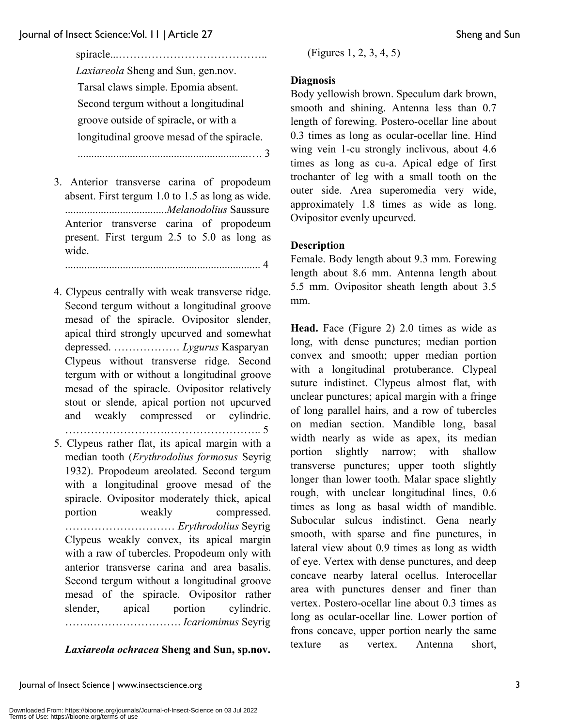spiracle...………………………………….. *Laxiareola* Sheng and Sun, gen.nov. Tarsal claws simple. Epomia absent. Second tergum without a longitudinal groove outside of spiracle, or with a longitudinal groove mesad of the spiracle.

..............................................................…. 3

3. Anterior transverse carina of propodeum absent. First tergum 1.0 to 1.5 as long as wide. .....................................*Melanodolius* Saussure Anterior transverse carina of propodeum present. First tergum 2.5 to 5.0 as long as wide.

....................................................................... 4

- 4. Clypeus centrally with weak transverse ridge. Second tergum without a longitudinal groove mesad of the spiracle. Ovipositor slender, apical third strongly upcurved and somewhat depressed. ……………… *Lygurus* Kasparyan Clypeus without transverse ridge. Second tergum with or without a longitudinal groove mesad of the spiracle. Ovipositor relatively stout or slende, apical portion not upcurved and weakly compressed or cylindric. ……………………….…………………….. 5
- 5. Clypeus rather flat, its apical margin with a median tooth (*Erythrodolius formosus* Seyrig 1932). Propodeum areolated. Second tergum with a longitudinal groove mesad of the spiracle. Ovipositor moderately thick, apical portion weakly compressed. ………………………… *Erythrodolius* Seyrig Clypeus weakly convex, its apical margin with a raw of tubercles. Propodeum only with anterior transverse carina and area basalis. Second tergum without a longitudinal groove mesad of the spiracle. Ovipositor rather slender, apical portion cylindric. …….……………………. *Icariomimus* Seyrig

#### *Laxiareola ochracea* **Sheng and Sun, sp.nov.**

(Figures 1, 2, 3, 4, 5)

#### **Diagnosis**

Body yellowish brown. Speculum dark brown, smooth and shining. Antenna less than 0.7 length of forewing. Postero-ocellar line about 0.3 times as long as ocular-ocellar line. Hind wing vein 1-cu strongly inclivous, about 4.6 times as long as cu-a. Apical edge of first trochanter of leg with a small tooth on the outer side. Area superomedia very wide, approximately 1.8 times as wide as long. Ovipositor evenly upcurved.

### **Description**

Female. Body length about 9.3 mm. Forewing length about 8.6 mm. Antenna length about 5.5 mm. Ovipositor sheath length about 3.5 mm.

**Head.** Face (Figure 2) 2.0 times as wide as long, with dense punctures; median portion convex and smooth; upper median portion with a longitudinal protuberance. Clypeal suture indistinct. Clypeus almost flat, with unclear punctures; apical margin with a fringe of long parallel hairs, and a row of tubercles on median section. Mandible long, basal width nearly as wide as apex, its median portion slightly narrow; with shallow transverse punctures; upper tooth slightly longer than lower tooth. Malar space slightly rough, with unclear longitudinal lines, 0.6 times as long as basal width of mandible. Subocular sulcus indistinct. Gena nearly smooth, with sparse and fine punctures, in lateral view about 0.9 times as long as width of eye. Vertex with dense punctures, and deep concave nearby lateral ocellus. Interocellar area with punctures denser and finer than vertex. Postero-ocellar line about 0.3 times as long as ocular-ocellar line. Lower portion of frons concave, upper portion nearly the same texture as vertex. Antenna short,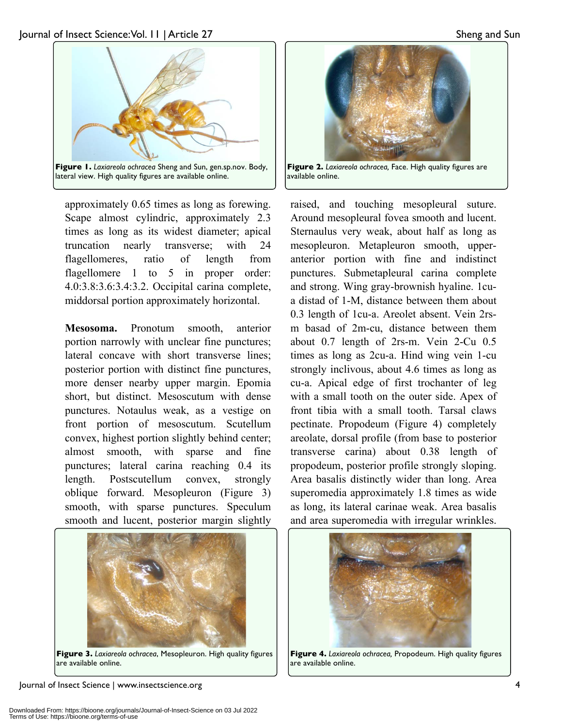

lateral view. High quality figures are available online.

approximately 0.65 times as long as forewing. Scape almost cylindric, approximately 2.3 times as long as its widest diameter; apical truncation nearly transverse; with 24 flagellomeres, ratio of length from flagellomere 1 to 5 in proper order: 4.0:3.8:3.6:3.4:3.2. Occipital carina complete, middorsal portion approximately horizontal.

**Mesosoma.** Pronotum smooth, anterior portion narrowly with unclear fine punctures; lateral concave with short transverse lines; posterior portion with distinct fine punctures, more denser nearby upper margin. Epomia short, but distinct. Mesoscutum with dense punctures. Notaulus weak, as a vestige on front portion of mesoscutum. Scutellum convex, highest portion slightly behind center; almost smooth, with sparse and fine punctures; lateral carina reaching 0.4 its length. Postscutellum convex, strongly oblique forward. Mesopleuron (Figure 3) smooth, with sparse punctures. Speculum smooth and lucent, posterior margin slightly



**Figure 3.** *Laxiareola ochracea*, Mesopleuron. High quality figures are available online.

Journal of Insect Science | www.insectscience.org 4



**Figure 2.** *Laxiareola ochracea,* Face. High quality figures are available online.

raised, and touching mesopleural suture. Around mesopleural fovea smooth and lucent. Sternaulus very weak, about half as long as mesopleuron. Metapleuron smooth, upperanterior portion with fine and indistinct punctures. Submetapleural carina complete and strong. Wing gray-brownish hyaline. 1cua distad of 1-M, distance between them about 0.3 length of 1cu-a. Areolet absent. Vein 2rsm basad of 2m-cu, distance between them about 0.7 length of 2rs-m. Vein 2-Cu 0.5 times as long as 2cu-a. Hind wing vein 1-cu strongly inclivous, about 4.6 times as long as cu-a. Apical edge of first trochanter of leg with a small tooth on the outer side. Apex of front tibia with a small tooth. Tarsal claws pectinate. Propodeum (Figure 4) completely areolate, dorsal profile (from base to posterior transverse carina) about 0.38 length of propodeum, posterior profile strongly sloping. Area basalis distinctly wider than long. Area superomedia approximately 1.8 times as wide as long, its lateral carinae weak. Area basalis and area superomedia with irregular wrinkles.



**Figure 4.** *Laxiareola ochracea,* Propodeum. High quality figures are available online.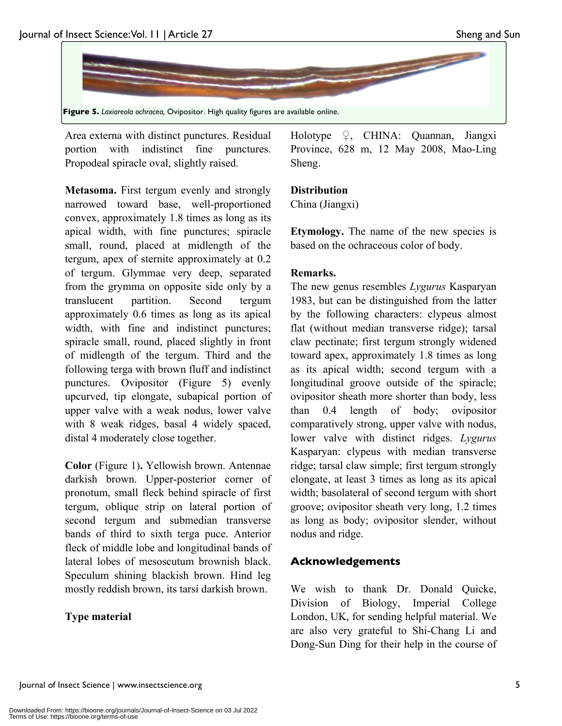

Area externa with distinct punctures. Residual portion with indistinct fine punctures. Propodeal spiracle oval, slightly raised.

**Metasoma.** First tergum evenly and strongly narrowed toward base, well-proportioned convex, approximately 1.8 times as long as its apical width, with fine punctures; spiracle small, round, placed at midlength of the tergum, apex of sternite approximately at 0.2 of tergum. Glymmae very deep, separated from the grymma on opposite side only by a translucent partition. Second tergum approximately 0.6 times as long as its apical width, with fine and indistinct punctures; spiracle small, round, placed slightly in front of midlength of the tergum. Third and the following terga with brown fluff and indistinct punctures. Ovipositor (Figure 5) evenly upcurved, tip elongate, subapical portion of upper valve with a weak nodus, lower valve with 8 weak ridges, basal 4 widely spaced, distal 4 moderately close together.

**Color** (Figure 1)**.** Yellowish brown. Antennae darkish brown. Upper-posterior corner of pronotum, small fleck behind spiracle of first tergum, oblique strip on lateral portion of second tergum and submedian transverse bands of third to sixth terga puce. Anterior fleck of middle lobe and longitudinal bands of lateral lobes of mesoscutum brownish black. Speculum shining blackish brown. Hind leg mostly reddish brown, its tarsi darkish brown.

### **Type material**

Holotype  $\varphi$ , CHINA: Quannan, Jiangxi Province, 628 m, 12 May 2008, Mao-Ling Sheng.

#### **Distribution**

China (Jiangxi)

**Etymology.** The name of the new species is based on the ochraceous color of body.

#### **Remarks.**

The new genus resembles *Lygurus* Kasparyan 1983, but can be distinguished from the latter by the following characters: clypeus almost flat (without median transverse ridge); tarsal claw pectinate; first tergum strongly widened toward apex, approximately 1.8 times as long as its apical width; second tergum with a longitudinal groove outside of the spiracle; ovipositor sheath more shorter than body, less than 0.4 length of body; ovipositor comparatively strong, upper valve with nodus, lower valve with distinct ridges. *Lygurus* Kasparyan: clypeus with median transverse ridge; tarsal claw simple; first tergum strongly elongate, at least 3 times as long as its apical width; basolateral of second tergum with short groove; ovipositor sheath very long, 1.2 times as long as body; ovipositor slender, without nodus and ridge.

### **Acknowledgements**

We wish to thank Dr. Donald Quicke, Division of Biology, Imperial College London, UK, for sending helpful material. We are also very grateful to Shi-Chang Li and Dong-Sun Ding for their help in the course of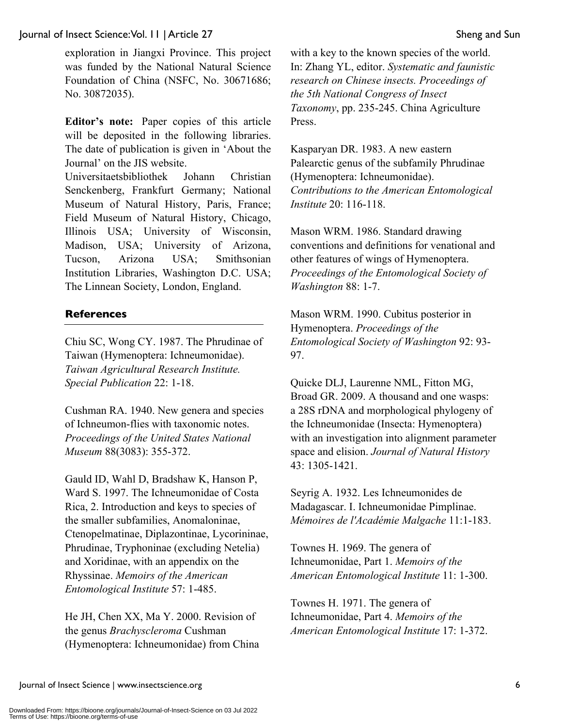#### Journal of Insect Science: Vol. 11 | Article 27 Sheng and Sun

exploration in Jiangxi Province. This project was funded by the National Natural Science Foundation of China (NSFC, No. 30671686; No. 30872035).

**Editor's note:** Paper copies of this article will be deposited in the following libraries. The date of publication is given in 'About the Journal' on the JIS website.

Universitaetsbibliothek Johann Christian Senckenberg, Frankfurt Germany; National Museum of Natural History, Paris, France; Field Museum of Natural History, Chicago, Illinois USA; University of Wisconsin, Madison, USA; University of Arizona, Tucson, Arizona USA; Smithsonian Institution Libraries, Washington D.C. USA; The Linnean Society, London, England.

#### **References**

Chiu SC, Wong CY. 1987. The Phrudinae of Taiwan (Hymenoptera: Ichneumonidae). *Taiwan Agricultural Research Institute. Special Publication* 22: 1-18.

Cushman RA. 1940. New genera and species of Ichneumon-flies with taxonomic notes. *Proceedings of the United States National Museum* 88(3083): 355-372.

Gauld ID, Wahl D, Bradshaw K, Hanson P, Ward S. 1997. The Ichneumonidae of Costa Rica, 2. Introduction and keys to species of the smaller subfamilies, Anomaloninae, Ctenopelmatinae, Diplazontinae, Lycorininae, Phrudinae, Tryphoninae (excluding Netelia) and Xoridinae, with an appendix on the Rhyssinae. *Memoirs of the American Entomological Institute* 57: 1-485.

He JH, Chen XX, Ma Y. 2000. Revision of the genus *Brachyscleroma* Cushman (Hymenoptera: Ichneumonidae) from China with a key to the known species of the world. In: Zhang YL, editor. *Systematic and faunistic research on Chinese insects. Proceedings of the 5th National Congress of Insect Taxonomy*, pp. 235-245. China Agriculture Press.

Kasparyan DR. 1983. A new eastern Palearctic genus of the subfamily Phrudinae (Hymenoptera: Ichneumonidae). *Contributions to the American Entomological Institute* 20: 116-118.

Mason WRM. 1986. Standard drawing conventions and definitions for venational and other features of wings of Hymenoptera. *Proceedings of the Entomological Society of Washington* 88: 1-7.

Mason WRM. 1990. Cubitus posterior in Hymenoptera. *Proceedings of the Entomological Society of Washington* 92: 93- 97.

Quicke DLJ, Laurenne NML, Fitton MG, Broad GR. 2009. A thousand and one wasps: a 28S rDNA and morphological phylogeny of the Ichneumonidae (Insecta: Hymenoptera) with an investigation into alignment parameter space and elision. *Journal of Natural History* 43: 1305-1421.

Seyrig A. 1932. Les Ichneumonides de Madagascar. I. Ichneumonidae Pimplinae. *Mémoires de l'Académie Malgache* 11:1-183.

Townes H. 1969. The genera of Ichneumonidae, Part 1. *Memoirs of the American Entomological Institute* 11: 1-300.

Townes H. 1971. The genera of Ichneumonidae, Part 4. *Memoirs of the American Entomological Institute* 17: 1-372.